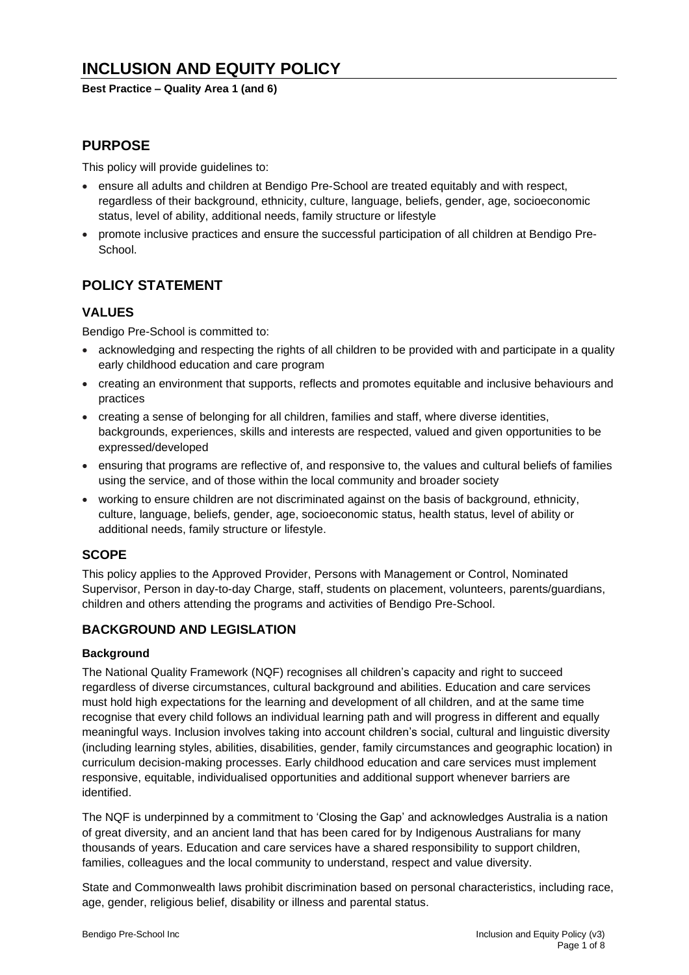**Best Practice – Quality Area 1 (and 6)**

## **PURPOSE**

This policy will provide guidelines to:

- ensure all adults and children at Bendigo Pre-School are treated equitably and with respect, regardless of their background, ethnicity, culture, language, beliefs, gender, age, socioeconomic status, level of ability, additional needs, family structure or lifestyle
- promote inclusive practices and ensure the successful participation of all children at Bendigo Pre-**School.**

# **POLICY STATEMENT**

## **VALUES**

Bendigo Pre-School is committed to:

- acknowledging and respecting the rights of all children to be provided with and participate in a quality early childhood education and care program
- creating an environment that supports, reflects and promotes equitable and inclusive behaviours and practices
- creating a sense of belonging for all children, families and staff, where diverse identities, backgrounds, experiences, skills and interests are respected, valued and given opportunities to be expressed/developed
- ensuring that programs are reflective of, and responsive to, the values and cultural beliefs of families using the service, and of those within the local community and broader society
- working to ensure children are not discriminated against on the basis of background, ethnicity, culture, language, beliefs, gender, age, socioeconomic status, health status, level of ability or additional needs, family structure or lifestyle.

### **SCOPE**

This policy applies to the Approved Provider, Persons with Management or Control, Nominated Supervisor, Person in day-to-day Charge, staff, students on placement, volunteers, parents/guardians, children and others attending the programs and activities of Bendigo Pre-School.

## **BACKGROUND AND LEGISLATION**

#### **Background**

The National Quality Framework (NQF) recognises all children's capacity and right to succeed regardless of diverse circumstances, cultural background and abilities. Education and care services must hold high expectations for the learning and development of all children, and at the same time recognise that every child follows an individual learning path and will progress in different and equally meaningful ways. Inclusion involves taking into account children's social, cultural and linguistic diversity (including learning styles, abilities, disabilities, gender, family circumstances and geographic location) in curriculum decision-making processes. Early childhood education and care services must implement responsive, equitable, individualised opportunities and additional support whenever barriers are identified.

The NQF is underpinned by a commitment to 'Closing the Gap' and acknowledges Australia is a nation of great diversity, and an ancient land that has been cared for by Indigenous Australians for many thousands of years. Education and care services have a shared responsibility to support children, families, colleagues and the local community to understand, respect and value diversity.

State and Commonwealth laws prohibit discrimination based on personal characteristics, including race, age, gender, religious belief, disability or illness and parental status.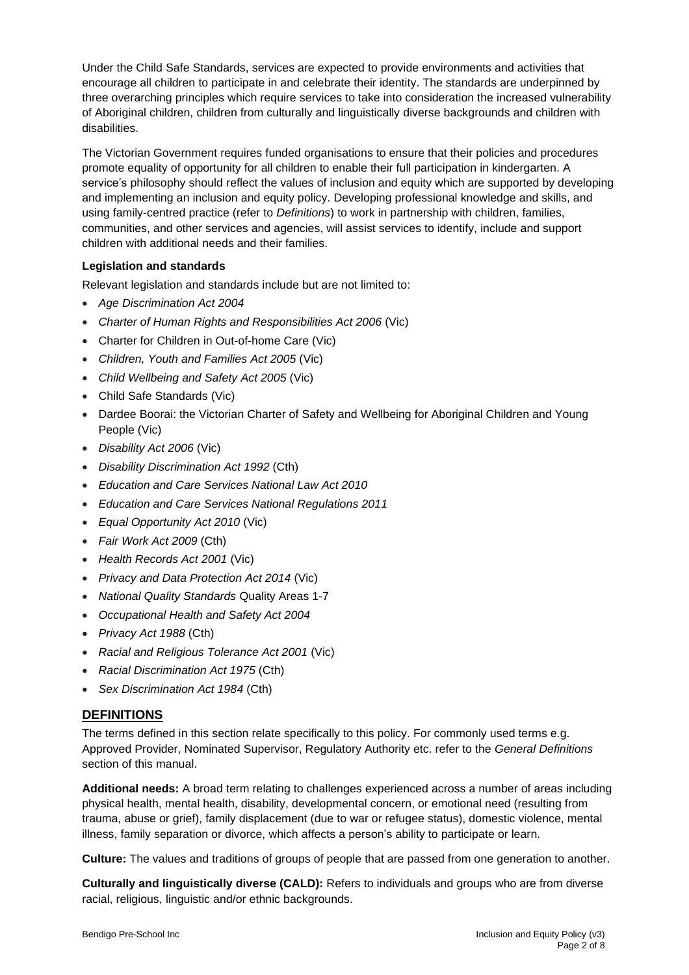Under the Child Safe Standards, services are expected to provide environments and activities that encourage all children to participate in and celebrate their identity. The standards are underpinned by three overarching principles which require services to take into consideration the increased vulnerability of Aboriginal children, children from culturally and linguistically diverse backgrounds and children with disabilities.

The Victorian Government requires funded organisations to ensure that their policies and procedures promote equality of opportunity for all children to enable their full participation in kindergarten. A service's philosophy should reflect the values of inclusion and equity which are supported by developing and implementing an inclusion and equity policy. Developing professional knowledge and skills, and using family-centred practice (refer to *Definitions*) to work in partnership with children, families, communities, and other services and agencies, will assist services to identify, include and support children with additional needs and their families.

### **Legislation and standards**

Relevant legislation and standards include but are not limited to:

- *Age Discrimination Act 2004*
- *Charter of Human Rights and [Responsibilities](http://www.legislation.vic.gov.au/Domino/Web_Notes/LDMS/PubStatbook.nsf/f932b66241ecf1b7ca256e92000e23be/54d73763ef9dca36ca2571b6002428b0!OpenDocument) Act 2006* (Vic)
- Charter for Children in Out-of-home Care (Vic)
- *Children, Youth and Families Act 2005* (Vic)
- *Child Wellbeing and Safety Act 2005* (Vic)
- Child Safe Standards (Vic)
- Dardee Boorai: the Victorian Charter of Safety and Wellbeing for Aboriginal Children and Young People (Vic)
- *Disability Act 2006* (Vic)
- *Disability Discrimination Act 1992* (Cth)
- *Education and Care Services National Law Act 2010*
- *Education and Care Services National Regulations 2011*
- *Equal Opportunity Act 2010* (Vic)
- *Fair Work Act 2009* (Cth)
- *Health Records Act 2001* (Vic)
- *Privacy and Data Protection Act 2014* (Vic)
- *National Quality Standards* Quality Areas 1-7
- *Occupational Health and Safety Act 2004*
- *Privacy Act 1988* (Cth)
- *Racial and Religious Tolerance Act 2001* (Vic)
- *Racial Discrimination Act 1975* (Cth)
- *Sex Discrimination Act 1984* (Cth)

### **DEFINITIONS**

The terms defined in this section relate specifically to this policy. For commonly used terms e.g. Approved Provider, Nominated Supervisor, Regulatory Authority etc. refer to the *General Definitions* section of this manual.

**Additional needs:** A broad term relating to challenges experienced across a number of areas including physical health, mental health, disability, developmental concern, or emotional need (resulting from trauma, abuse or grief), family displacement (due to war or refugee status), domestic violence, mental illness, family separation or divorce, which affects a person's ability to participate or learn.

**Culture:** The values and traditions of groups of people that are passed from one generation to another.

**Culturally and linguistically diverse (CALD):** Refers to individuals and groups who are from diverse racial, religious, linguistic and/or ethnic backgrounds.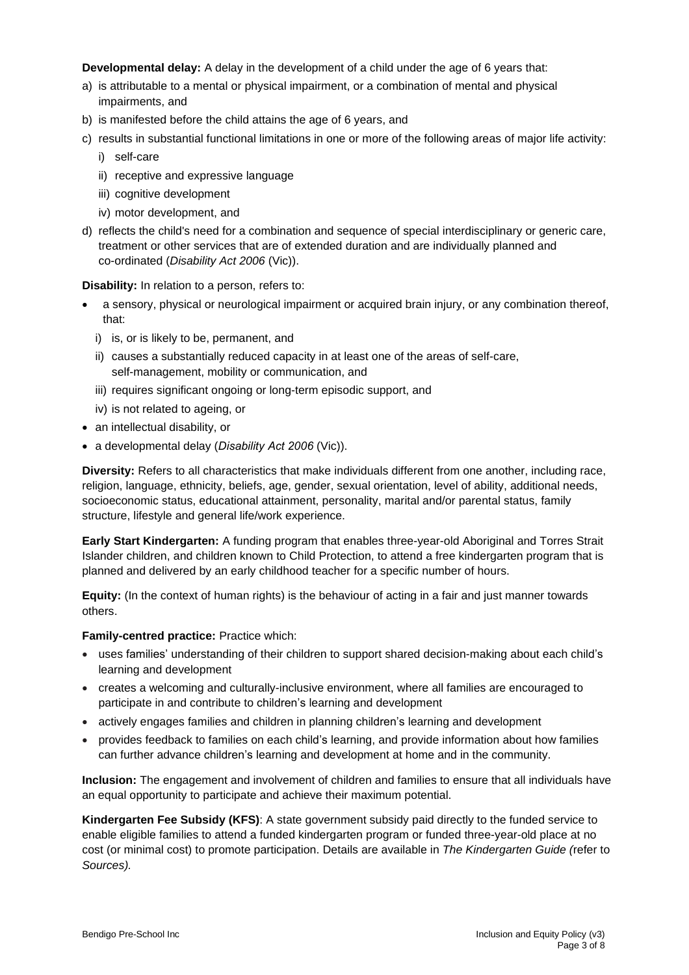**Developmental delay:** A delay in the development of a child under the age of 6 years that:

- a) is attributable to a mental or physical impairment, or a combination of mental and physical impairments, and
- b) is manifested before the child attains the age of 6 years, and
- c) results in substantial functional limitations in one or more of the following areas of major life activity:
	- i) self-care
	- ii) receptive and expressive language
	- iii) cognitive development
	- iv) motor development, and
- d) reflects the child's need for a combination and sequence of special interdisciplinary or generic care, treatment or other services that are of extended duration and are individually planned and co-ordinated (*Disability Act 2006* (Vic)).

**Disability:** In relation to a person, refers to:

- a sensory, physical or neurological impairment or acquired brain injury, or any combination thereof, that:
	- i) is, or is likely to be, permanent, and
	- ii) causes a substantially reduced capacity in at least one of the areas of self-care, self-management, mobility or communication, and
	- iii) requires significant ongoing or long-term episodic support, and
	- iv) is not related to ageing, or
- an intellectual disability, or
- a developmental delay (*Disability Act 2006* (Vic)).

**Diversity:** Refers to all characteristics that make individuals different from one another, including race, religion, language, ethnicity, beliefs, age, gender, sexual orientation, level of ability, additional needs, socioeconomic status, educational attainment, personality, marital and/or parental status, family structure, lifestyle and general life/work experience.

**Early Start Kindergarten:** A funding program that enables three-year-old Aboriginal and Torres Strait Islander children, and children known to Child Protection, to attend a free kindergarten program that is planned and delivered by an early childhood teacher for a specific number of hours.

**Equity:** (In the context of human rights) is the behaviour of acting in a fair and just manner towards others.

#### **Family-centred practice:** Practice which:

- uses families' understanding of their children to support shared decision-making about each child's learning and development
- creates a welcoming and culturally-inclusive environment, where all families are encouraged to participate in and contribute to children's learning and development
- actively engages families and children in planning children's learning and development
- provides feedback to families on each child's learning, and provide information about how families can further advance children's learning and development at home and in the community.

**Inclusion:** The engagement and involvement of children and families to ensure that all individuals have an equal opportunity to participate and achieve their maximum potential.

**Kindergarten Fee Subsidy (KFS)**: A state government subsidy paid directly to the funded service to enable eligible families to attend a funded kindergarten program or funded three-year-old place at no cost (or minimal cost) to promote participation. Details are available in *The Kindergarten Guide (*refer to *Sources).*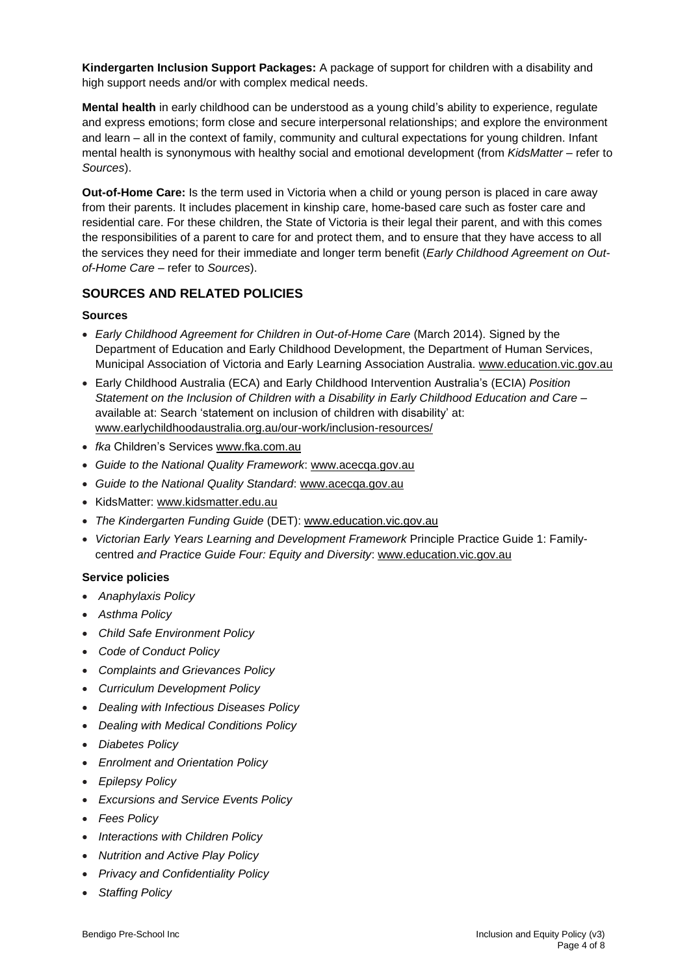**Kindergarten Inclusion Support Packages:** A package of support for children with a disability and high support needs and/or with complex medical needs.

**Mental health** in early childhood can be understood as a young child's ability to experience, regulate and express emotions; form close and secure interpersonal relationships; and explore the environment and learn – all in the context of family, community and cultural expectations for young children. Infant mental health is synonymous with healthy social and emotional development (from *KidsMatter –* refer to *Sources*).

**Out-of-Home Care:** Is the term used in Victoria when a child or young person is placed in care away from their parents. It includes placement in kinship care, home-based care such as foster care and residential care. For these children, the State of Victoria is their legal their parent, and with this comes the responsibilities of a parent to care for and protect them, and to ensure that they have access to all the services they need for their immediate and longer term benefit (*Early Childhood Agreement on Outof-Home Care* – refer to *Sources*).

### **SOURCES AND RELATED POLICIES**

#### **Sources**

- *Early Childhood Agreement for Children in Out-of-Home Care* (March 2014). Signed by the Department of Education and Early Childhood Development, the Department of Human Services, Municipal Association of Victoria and Early Learning Association Australia. [www.education.vic.gov.au](http://www.education.vic.gov.au/)
- Early Childhood Australia (ECA) and Early Childhood Intervention Australia's (ECIA) *Position Statement on the Inclusion of Children with a Disability in Early Childhood Education and Care –* available at: Search 'statement on inclusion of children with disability' at: [www.earlychildhoodaustralia.org.au/our-work/inclusion-resources/](http://www.earlychildhoodaustralia.org.au/our-work/inclusion-resources/)
- *fka* Children's Services [www.fka.com.au](http://www.fka.com.au/)
- *Guide to the National Quality Framework*: [www.acecqa.gov.au](https://www.acecqa.gov.au/)
- *Guide to the National Quality Standard*: [www.acecqa.gov.au](https://www.acecqa.gov.au/)
- KidsMatter: [www.kidsmatter.edu.au](https://www.kidsmatter.edu.au/)
- *The Kindergarten Funding Guide* (DET): [www.education.vic.gov.au](http://www.education.vic.gov.au/Pages/default.aspx)
- *Victorian Early Years Learning and Development Framework* Principle Practice Guide 1: Familycentred *and Practice Guide Four: Equity and Diversity*: [www.education.vic.gov.au](http://www.education.vic.gov.au/Pages/default.aspx)

#### **Service policies**

- *Anaphylaxis Policy*
- *Asthma Policy*
- *Child Safe Environment Policy*
- *Code of Conduct Policy*
- *Complaints and Grievances Policy*
- *Curriculum Development Policy*
- *Dealing with Infectious Diseases Policy*
- *Dealing with Medical Conditions Policy*
- *Diabetes Policy*
- *Enrolment and Orientation Policy*
- *Epilepsy Policy*
- *Excursions and Service Events Policy*
- *Fees Policy*
- *Interactions with Children Policy*
- *Nutrition and Active Play Policy*
- *Privacy and Confidentiality Policy*
- *Staffing Policy*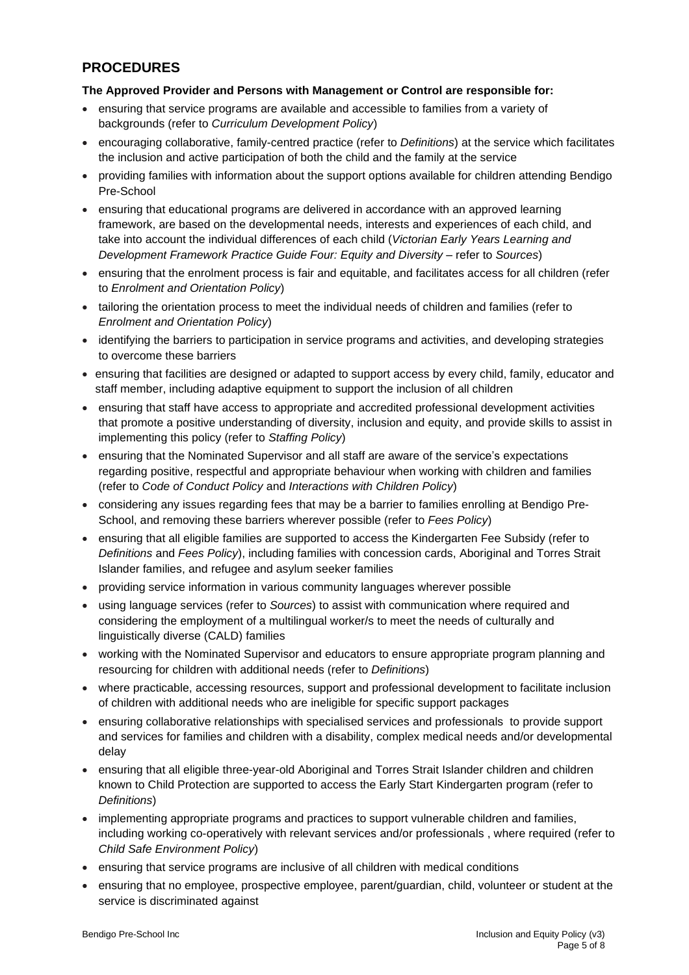# **PROCEDURES**

### **The Approved Provider and Persons with Management or Control are responsible for:**

- ensuring that service programs are available and accessible to families from a variety of backgrounds (refer to *Curriculum Development Policy*)
- encouraging collaborative, family-centred practice (refer to *Definitions*) at the service which facilitates the inclusion and active participation of both the child and the family at the service
- providing families with information about the support options available for children attending Bendigo Pre-School
- ensuring that educational programs are delivered in accordance with an approved learning framework, are based on the developmental needs, interests and experiences of each child, and take into account the individual differences of each child (*Victorian Early Years Learning and Development Framework Practice Guide Four: Equity and Diversity* – refer to *Sources*)
- ensuring that the enrolment process is fair and equitable, and facilitates access for all children (refer to *Enrolment and Orientation Policy*)
- tailoring the orientation process to meet the individual needs of children and families (refer to *Enrolment and Orientation Policy*)
- identifying the barriers to participation in service programs and activities, and developing strategies to overcome these barriers
- ensuring that facilities are designed or adapted to support access by every child, family, educator and staff member, including adaptive equipment to support the inclusion of all children
- ensuring that staff have access to appropriate and accredited professional development activities that promote a positive understanding of diversity, inclusion and equity, and provide skills to assist in implementing this policy (refer to *Staffing Policy*)
- ensuring that the Nominated Supervisor and all staff are aware of the service's expectations regarding positive, respectful and appropriate behaviour when working with children and families (refer to *Code of Conduct Policy* and *Interactions with Children Policy*)
- considering any issues regarding fees that may be a barrier to families enrolling at Bendigo Pre-School, and removing these barriers wherever possible (refer to *Fees Policy*)
- ensuring that all eligible families are supported to access the Kindergarten Fee Subsidy (refer to *Definitions* and *Fees Policy*), including families with concession cards, Aboriginal and Torres Strait Islander families, and refugee and asylum seeker families
- providing service information in various community languages wherever possible
- using language services (refer to *Sources*) to assist with communication where required and considering the employment of a multilingual worker/s to meet the needs of culturally and linguistically diverse (CALD) families
- working with the Nominated Supervisor and educators to ensure appropriate program planning and resourcing for children with additional needs (refer to *Definitions*)
- where practicable, accessing resources, support and professional development to facilitate inclusion of children with additional needs who are ineligible for specific support packages
- ensuring collaborative relationships with specialised services and professionals to provide support and services for families and children with a disability, complex medical needs and/or developmental delay
- ensuring that all eligible three-year-old Aboriginal and Torres Strait Islander children and children known to Child Protection are supported to access the Early Start Kindergarten program (refer to *Definitions*)
- implementing appropriate programs and practices to support vulnerable children and families, including working co-operatively with relevant services and/or professionals , where required (refer to *Child Safe Environment Policy*)
- ensuring that service programs are inclusive of all children with medical conditions
- ensuring that no employee, prospective employee, parent/guardian, child, volunteer or student at the service is discriminated against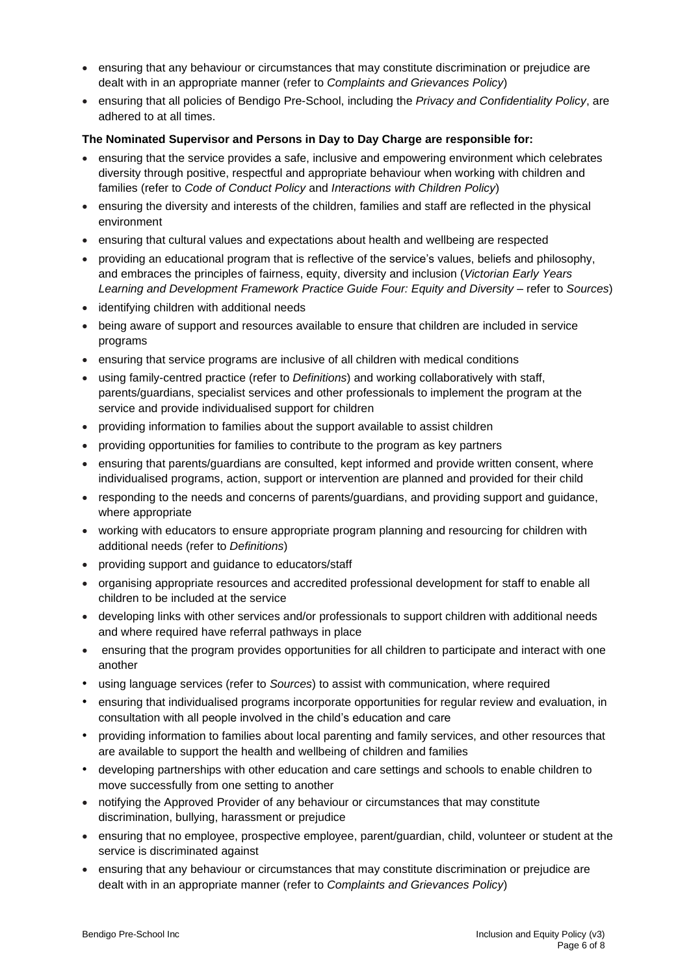- ensuring that any behaviour or circumstances that may constitute discrimination or prejudice are dealt with in an appropriate manner (refer to *Complaints and Grievances Policy*)
- ensuring that all policies of Bendigo Pre-School, including the *Privacy and Confidentiality Policy*, are adhered to at all times.

#### **The Nominated Supervisor and Persons in Day to Day Charge are responsible for:**

- ensuring that the service provides a safe, inclusive and empowering environment which celebrates diversity through positive, respectful and appropriate behaviour when working with children and families (refer to *Code of Conduct Policy* and *Interactions with Children Policy*)
- ensuring the diversity and interests of the children, families and staff are reflected in the physical environment
- ensuring that cultural values and expectations about health and wellbeing are respected
- providing an educational program that is reflective of the service's values, beliefs and philosophy, and embraces the principles of fairness, equity, diversity and inclusion (*Victorian Early Years Learning and Development Framework Practice Guide Four: Equity and Diversity* – refer to *Sources*)
- identifying children with additional needs
- being aware of support and resources available to ensure that children are included in service programs
- ensuring that service programs are inclusive of all children with medical conditions
- using family-centred practice (refer to *Definitions*) and working collaboratively with staff, parents/guardians, specialist services and other professionals to implement the program at the service and provide individualised support for children
- providing information to families about the support available to assist children
- providing opportunities for families to contribute to the program as key partners
- ensuring that parents/guardians are consulted, kept informed and provide written consent, where individualised programs, action, support or intervention are planned and provided for their child
- responding to the needs and concerns of parents/guardians, and providing support and guidance, where appropriate
- working with educators to ensure appropriate program planning and resourcing for children with additional needs (refer to *Definitions*)
- providing support and guidance to educators/staff
- organising appropriate resources and accredited professional development for staff to enable all children to be included at the service
- developing links with other services and/or professionals to support children with additional needs and where required have referral pathways in place
- ensuring that the program provides opportunities for all children to participate and interact with one another
- using language services (refer to *Sources*) to assist with communication, where required
- ensuring that individualised programs incorporate opportunities for regular review and evaluation, in consultation with all people involved in the child's education and care
- providing information to families about local parenting and family services, and other resources that are available to support the health and wellbeing of children and families
- developing partnerships with other education and care settings and schools to enable children to move successfully from one setting to another
- notifying the Approved Provider of any behaviour or circumstances that may constitute discrimination, bullying, harassment or prejudice
- ensuring that no employee, prospective employee, parent/guardian, child, volunteer or student at the service is discriminated against
- ensuring that any behaviour or circumstances that may constitute discrimination or prejudice are dealt with in an appropriate manner (refer to *Complaints and Grievances Policy*)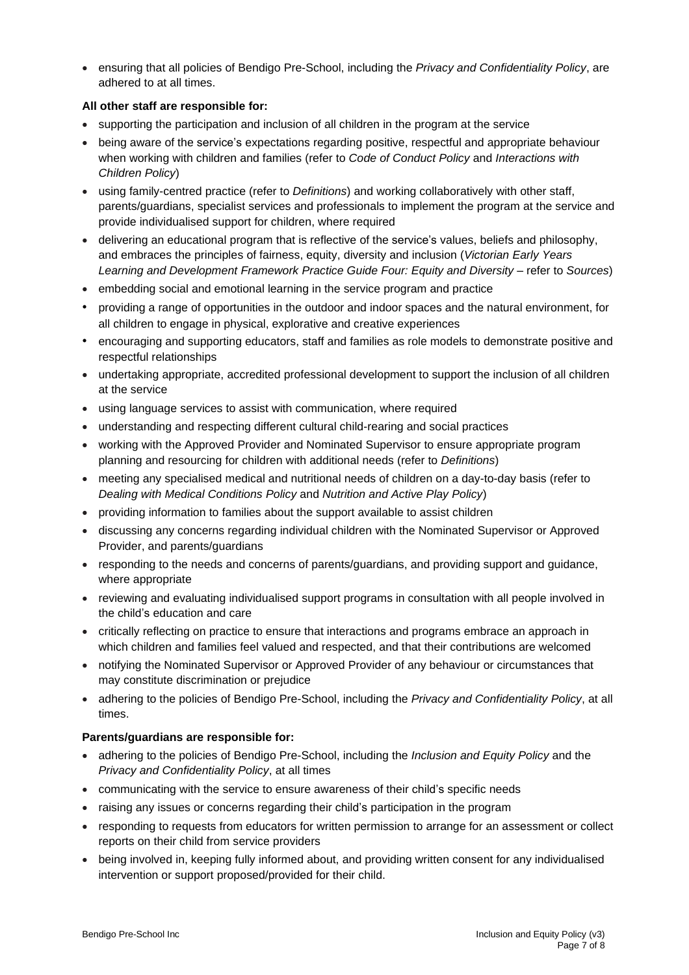• ensuring that all policies of Bendigo Pre-School, including the *Privacy and Confidentiality Policy*, are adhered to at all times.

#### **All other staff are responsible for:**

- supporting the participation and inclusion of all children in the program at the service
- being aware of the service's expectations regarding positive, respectful and appropriate behaviour when working with children and families (refer to *Code of Conduct Policy* and *Interactions with Children Policy*)
- using family-centred practice (refer to *Definitions*) and working collaboratively with other staff, parents/guardians, specialist services and professionals to implement the program at the service and provide individualised support for children, where required
- delivering an educational program that is reflective of the service's values, beliefs and philosophy, and embraces the principles of fairness, equity, diversity and inclusion (*Victorian Early Years Learning and Development Framework Practice Guide Four: Equity and Diversity* – refer to *Sources*)
- embedding social and emotional learning in the service program and practice
- providing a range of opportunities in the outdoor and indoor spaces and the natural environment, for all children to engage in physical, explorative and creative experiences
- encouraging and supporting educators, staff and families as role models to demonstrate positive and respectful relationships
- undertaking appropriate, accredited professional development to support the inclusion of all children at the service
- using language services to assist with communication, where required
- understanding and respecting different cultural child-rearing and social practices
- working with the Approved Provider and Nominated Supervisor to ensure appropriate program planning and resourcing for children with additional needs (refer to *Definitions*)
- meeting any specialised medical and nutritional needs of children on a day-to-day basis (refer to *Dealing with Medical Conditions Policy* and *Nutrition and Active Play Policy*)
- providing information to families about the support available to assist children
- discussing any concerns regarding individual children with the Nominated Supervisor or Approved Provider, and parents/guardians
- responding to the needs and concerns of parents/guardians, and providing support and guidance, where appropriate
- reviewing and evaluating individualised support programs in consultation with all people involved in the child's education and care
- critically reflecting on practice to ensure that interactions and programs embrace an approach in which children and families feel valued and respected, and that their contributions are welcomed
- notifying the Nominated Supervisor or Approved Provider of any behaviour or circumstances that may constitute discrimination or prejudice
- adhering to the policies of Bendigo Pre-School, including the *Privacy and Confidentiality Policy*, at all times.

#### **Parents/guardians are responsible for:**

- adhering to the policies of Bendigo Pre-School, including the *Inclusion and Equity Policy* and the *Privacy and Confidentiality Policy*, at all times
- communicating with the service to ensure awareness of their child's specific needs
- raising any issues or concerns regarding their child's participation in the program
- responding to requests from educators for written permission to arrange for an assessment or collect reports on their child from service providers
- being involved in, keeping fully informed about, and providing written consent for any individualised intervention or support proposed/provided for their child.